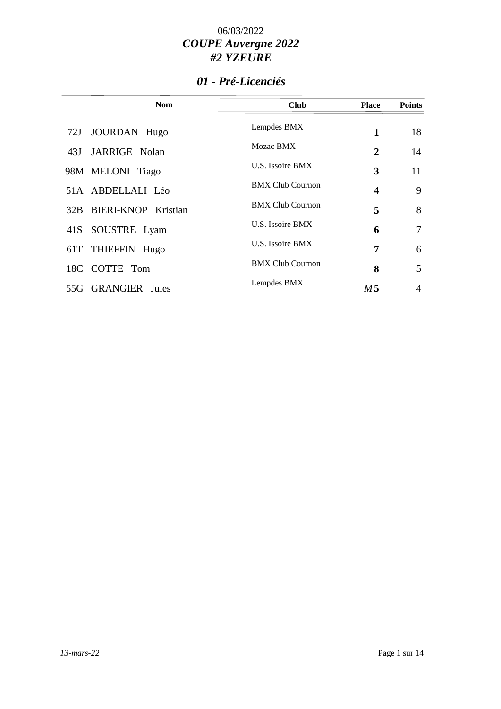## *01 - Pré-Licenciés*

| <b>Nom</b>              | <b>Club</b>             | <b>Place</b> | <b>Points</b>  |
|-------------------------|-------------------------|--------------|----------------|
| JOURDAN Hugo<br>72J     | Lempdes BMX             | 1            | 18             |
| JARRIGE Nolan<br>43J    | Mozac BMX               | 2            | 14             |
| 98M MELONI Tiago        | U.S. Issoire BMX        | 3            | 11             |
| 51A ABDELLALI Léo       | <b>BMX Club Cournon</b> | 4            | 9              |
| 32B BIERI-KNOP Kristian | <b>BMX Club Cournon</b> | 5            | 8              |
| 41S SOUSTRE Lyam        | U.S. Issoire BMX        | 6            | 7              |
| 61T THIEFFIN Hugo       | U.S. Issoire BMX        | 7            | 6              |
| 18C COTTE Tom           | <b>BMX Club Cournon</b> | 8            | 5              |
| 55G GRANGIER Jules      | Lempdes BMX             | M 5          | $\overline{4}$ |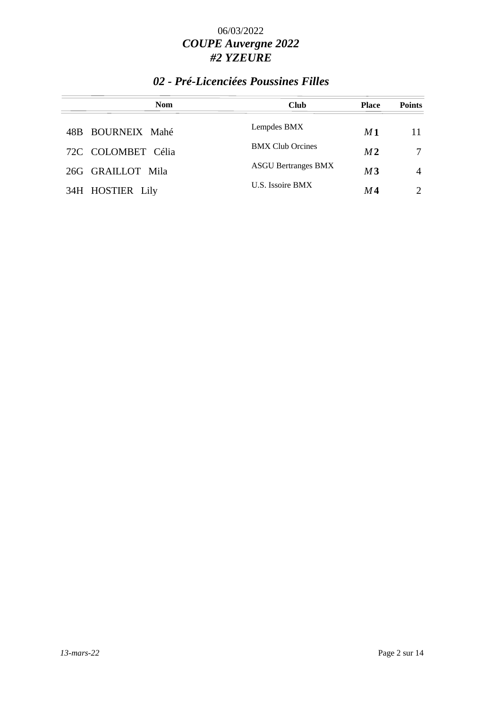### *02 - Pré-Licenciées Poussines Filles*

| <b>Nom</b>         | <b>Club</b>                | <b>Place</b>   | <b>Points</b>               |
|--------------------|----------------------------|----------------|-----------------------------|
| 48B BOURNEIX Mahé  | Lempdes BMX                | M1             | 11                          |
| 72C COLOMBET Célia | <b>BMX Club Orcines</b>    | M <sub>2</sub> |                             |
| 26G GRAILLOT Mila  | <b>ASGU Bertranges BMX</b> | M3             | 4                           |
| 34H HOSTIER Lily   | U.S. Issoire BMX           | M 4            | $\mathcal{D}_{\mathcal{L}}$ |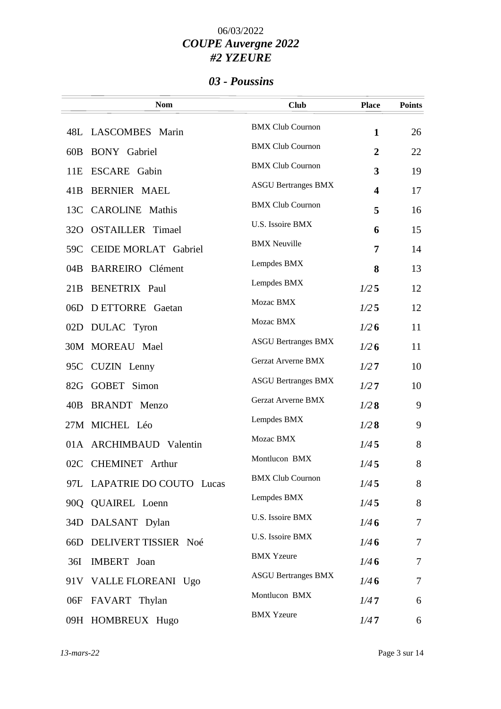### *03 - Poussins*

|                 | <b>Nom</b>                  | <b>Club</b>                | <b>Place</b>   | <b>Points</b> |
|-----------------|-----------------------------|----------------------------|----------------|---------------|
|                 | 48L LASCOMBES Marin         | <b>BMX Club Cournon</b>    | $\mathbf{1}$   | 26            |
| 60B             | <b>BONY</b> Gabriel         | <b>BMX Club Cournon</b>    | $\overline{2}$ | 22            |
| 11E             | <b>ESCARE</b> Gabin         | <b>BMX Club Cournon</b>    | 3              | 19            |
| 41B             | <b>BERNIER MAEL</b>         | <b>ASGU Bertranges BMX</b> | 4              | 17            |
| 13C             | <b>CAROLINE</b> Mathis      | <b>BMX Club Cournon</b>    | 5              | 16            |
| 32 <sub>O</sub> | <b>OSTAILLER</b> Timael     | U.S. Issoire BMX           | 6              | 15            |
| 59C             | <b>CEIDE MORLAT Gabriel</b> | <b>BMX Neuville</b>        | 7              | 14            |
| 04B             | <b>BARREIRO</b> Clément     | Lempdes BMX                | 8              | 13            |
| 21B             | <b>BENETRIX Paul</b>        | Lempdes BMX                | 1/25           | 12            |
|                 | 06D DETTORRE Gaetan         | Mozac BMX                  | 1/25           | 12            |
|                 | 02D DULAC Tyron             | Mozac BMX                  | 1/26           | 11            |
|                 | 30M MOREAU Mael             | <b>ASGU Bertranges BMX</b> | 1/26           | 11            |
|                 | 95C CUZIN Lenny             | Gerzat Arverne BMX         | 1/27           | 10            |
|                 | 82G GOBET Simon             | <b>ASGU Bertranges BMX</b> | 1/27           | 10            |
| 40B             | <b>BRANDT</b> Menzo         | Gerzat Arverne BMX         | 1/28           | 9             |
|                 | 27M MICHEL Léo              | Lempdes BMX                | 1/28           | 9             |
|                 | 01A ARCHIMBAUD Valentin     | Mozac BMX                  | 1/45           | 8             |
|                 | 02C CHEMINET Arthur         | Montlucon BMX              | 1/45           | 8             |
|                 | 97L LAPATRIE DO COUTO Lucas | <b>BMX Club Cournon</b>    | 1/45           | 8             |
|                 | 90Q QUAIREL Loenn           | Lempdes BMX                | 1/45           | 8             |
|                 | 34D DALSANT Dylan           | U.S. Issoire BMX           | 1/46           | $\tau$        |
| 66D             | DELIVERT TISSIER Noé        | U.S. Issoire BMX           | 1/46           | 7             |
| 36I             | IMBERT Joan                 | <b>BMX Yzeure</b>          | 1/46           | 7             |
|                 | 91V VALLE FLOREANI Ugo      | <b>ASGU Bertranges BMX</b> | 1/46           | 7             |
|                 | 06F FAVART Thylan           | Montlucon BMX              | 1/47           | 6             |
|                 | 09H HOMBREUX Hugo           | <b>BMX Yzeure</b>          | 1/47           | 6             |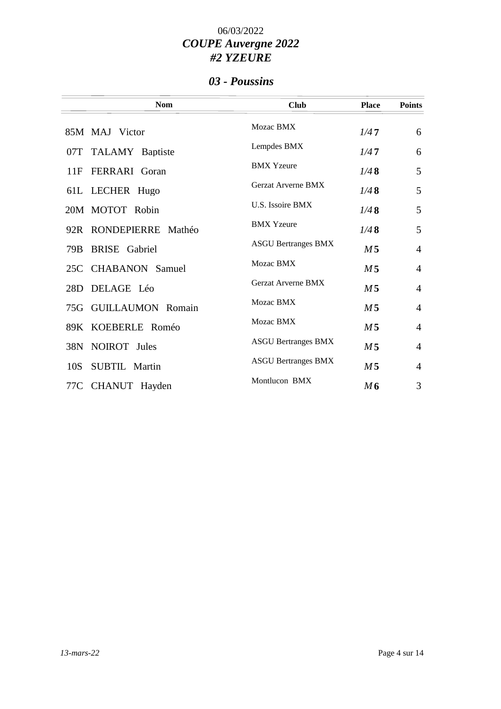### *03 - Poussins*

|     | <b>Nom</b>             | <b>Club</b>                | <b>Place</b>   | <b>Points</b>  |
|-----|------------------------|----------------------------|----------------|----------------|
|     | 85M MAJ Victor         | Mozac BMX                  | 1/47           | 6              |
|     | 07T TALAMY Baptiste    | Lempdes BMX                | 1/47           | 6              |
| 11F | <b>FERRARI</b> Goran   | <b>BMX</b> Yzeure          | 1/48           | 5              |
|     | 61L LECHER Hugo        | <b>Gerzat Arverne BMX</b>  | 1/48           | 5              |
|     | 20M MOTOT Robin        | U.S. Issoire BMX           | 1/48           | 5              |
|     | 92R RONDEPIERRE Mathéo | <b>BMX</b> Yzeure          | 1/48           | 5              |
| 79B | <b>BRISE</b> Gabriel   | <b>ASGU Bertranges BMX</b> | M <sub>5</sub> | $\overline{4}$ |
|     | 25C CHABANON Samuel    | Mozac BMX                  | M <sub>5</sub> | $\overline{4}$ |
| 28D | DELAGE Léo             | <b>Gerzat Arverne BMX</b>  | M <sub>5</sub> | $\overline{4}$ |
|     | 75G GUILLAUMON Romain  | Mozac BMX                  | M <sub>5</sub> | $\overline{4}$ |
|     | 89K KOEBERLE Roméo     | Mozac BMX                  | M <sub>5</sub> | $\overline{4}$ |
|     | 38N NOIROT Jules       | <b>ASGU Bertranges BMX</b> | M <sub>5</sub> | $\overline{4}$ |
| 10S | SUBTIL Martin          | <b>ASGU Bertranges BMX</b> | M <sub>5</sub> | $\overline{4}$ |
|     | 77C CHANUT Hayden      | Montlucon BMX              | M6             | 3              |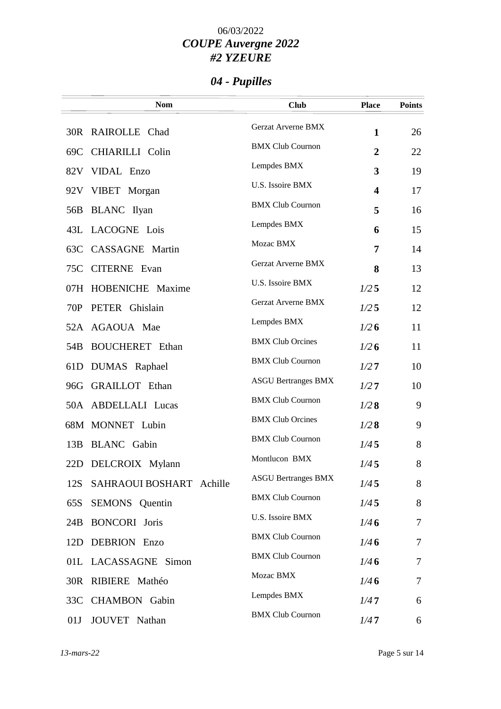# *04 - Pupilles*

|     | <b>Nom</b>               | <b>Club</b>                | <b>Place</b>            | <b>Points</b> |
|-----|--------------------------|----------------------------|-------------------------|---------------|
|     | 30R RAIROLLE Chad        | Gerzat Arverne BMX         | $\mathbf{1}$            | 26            |
|     | 69C CHIARILLI Colin      | <b>BMX Club Cournon</b>    | $\overline{2}$          | 22            |
|     | 82V VIDAL Enzo           | Lempdes BMX                | 3                       | 19            |
|     | 92V VIBET Morgan         | U.S. Issoire BMX           | $\overline{\mathbf{4}}$ | 17            |
| 56B | <b>BLANC</b> Ilyan       | <b>BMX Club Cournon</b>    | 5                       | 16            |
|     | 43L LACOGNE Lois         | Lempdes BMX                | 6                       | 15            |
|     | 63C CASSAGNE Martin      | Mozac BMX                  | 7                       | 14            |
| 75C | <b>CITERNE</b> Evan      | Gerzat Arverne BMX         | 8                       | 13            |
| 07H | HOBENICHE Maxime         | U.S. Issoire BMX           | 1/25                    | 12            |
| 70P | PETER Ghislain           | Gerzat Arverne BMX         | 1/25                    | 12            |
|     | 52A AGAOUA Mae           | Lempdes BMX                | 1/26                    | 11            |
| 54B | <b>BOUCHERET</b> Ethan   | <b>BMX Club Orcines</b>    | 1/26                    | 11            |
| 61D | DUMAS Raphael            | <b>BMX Club Cournon</b>    | 1/27                    | 10            |
|     | 96G GRAILLOT Ethan       | <b>ASGU Bertranges BMX</b> | 1/27                    | 10            |
|     | 50A ABDELLALI Lucas      | <b>BMX Club Cournon</b>    | 1/28                    | 9             |
|     | 68M MONNET Lubin         | <b>BMX Club Orcines</b>    | 1/28                    | 9             |
| 13B | <b>BLANC</b> Gabin       | <b>BMX Club Cournon</b>    | 1/45                    | 8             |
|     | 22D DELCROIX Mylann      | Montlucon BMX              | 1/45                    | 8             |
| 12S | SAHRAOUI BOSHART Achille | <b>ASGU Bertranges BMX</b> | 1/45                    | 8             |
| 65S | <b>SEMONS</b> Quentin    | <b>BMX Club Cournon</b>    | 1/45                    | 8             |
| 24B | <b>BONCORI</b> Joris     | U.S. Issoire BMX           | 1/46                    | 7             |
| 12D | <b>DEBRION</b> Enzo      | <b>BMX Club Cournon</b>    | 1/46                    | 7             |
|     | 01L LACASSAGNE Simon     | <b>BMX Club Cournon</b>    | 1/46                    | 7             |
| 30R | RIBIERE Mathéo           | Mozac BMX                  | 1/46                    | 7             |
|     | 33C CHAMBON Gabin        | Lempdes BMX                | 1/47                    | 6             |
| 01J | JOUVET Nathan            | <b>BMX Club Cournon</b>    | 1/47                    | 6             |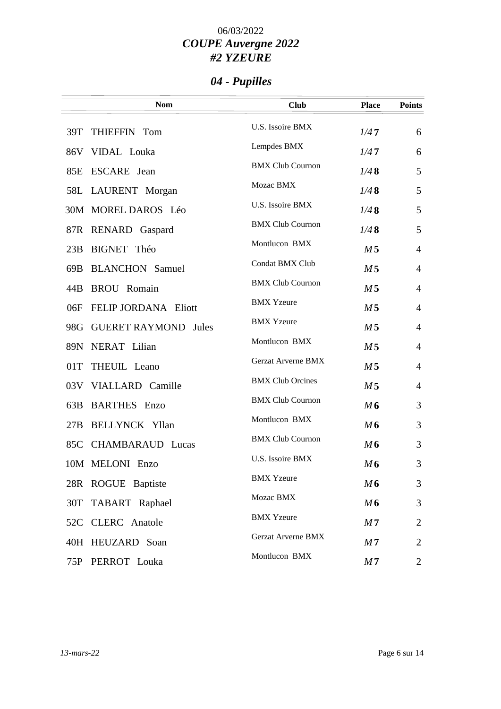# *04 - Pupilles*

| <b>Nom</b>                         | <b>Club</b>               | <b>Place</b>   | <b>Points</b>  |
|------------------------------------|---------------------------|----------------|----------------|
| THIEFFIN Tom<br>39T                | U.S. Issoire BMX          | 1/47           | 6              |
| 86V VIDAL Louka                    | Lempdes BMX               | 1/47           | 6              |
| ESCARE Jean<br>85E                 | <b>BMX Club Cournon</b>   | 1/48           | 5              |
| 58L LAURENT Morgan                 | Mozac BMX                 | 1/48           | 5              |
| 30M MOREL DAROS Léo                | U.S. Issoire BMX          | 1/48           | 5              |
| 87R RENARD Gaspard                 | <b>BMX Club Cournon</b>   | 1/48           | 5              |
| 23B<br>BIGNET Théo                 | Montlucon BMX             | M <sub>5</sub> | $\overline{4}$ |
| <b>BLANCHON</b> Samuel<br>69B      | Condat BMX Club           | M <sub>5</sub> | $\overline{4}$ |
| <b>BROU</b> Romain<br>44B          | <b>BMX Club Cournon</b>   | M <sub>5</sub> | $\overline{4}$ |
| FELIP JORDANA Eliott<br>06F        | <b>BMX</b> Yzeure         | M <sub>5</sub> | $\overline{4}$ |
| <b>GUERET RAYMOND</b> Jules<br>98G | <b>BMX Yzeure</b>         | M <sub>5</sub> | $\overline{4}$ |
| NERAT Lilian<br>89N                | Montlucon BMX             | M <sub>5</sub> | $\overline{4}$ |
| THEUIL Leano<br>01T                | Gerzat Arverne BMX        | M <sub>5</sub> | $\overline{4}$ |
| 03V VIALLARD Camille               | <b>BMX Club Orcines</b>   | M <sub>5</sub> | $\overline{4}$ |
| <b>BARTHES</b> Enzo<br>63B         | <b>BMX Club Cournon</b>   | M6             | 3              |
| <b>BELLYNCK Yllan</b><br>27B       | Montlucon BMX             | M6             | 3              |
|                                    | <b>BMX Club Cournon</b>   | M6             |                |
| 85C CHAMBARAUD Lucas               | U.S. Issoire BMX          |                | 3              |
| 10M MELONI Enzo                    | <b>BMX</b> Yzeure         | M6             | 3              |
| 28R ROGUE Baptiste                 | Mozac BMX                 | M6             | 3              |
| 30T<br>TABART Raphael              | <b>BMX</b> Yzeure         | M6             | 3              |
| <b>CLERC</b> Anatole<br>52C        | <b>Gerzat Arverne BMX</b> | M <sub>7</sub> | 2              |
| 40H HEUZARD Soan                   | Montlucon BMX             | M <sub>7</sub> | $\overline{2}$ |
| PERROT Louka<br>75P                |                           | M <sub>7</sub> | 2              |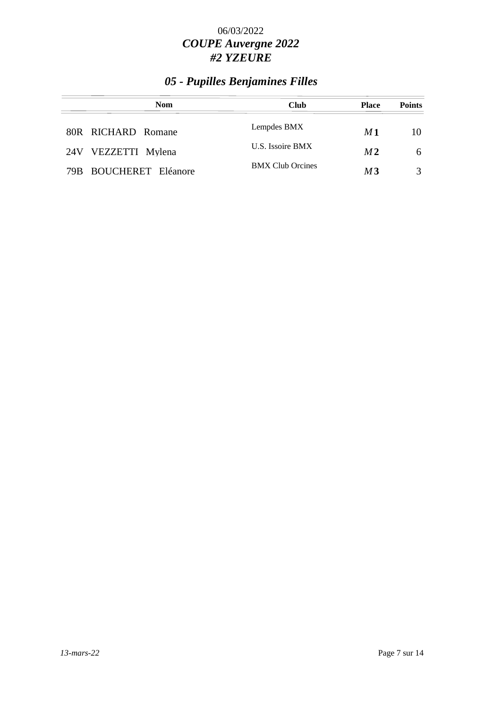# *05 - Pupilles Benjamines Filles*

| <b>Nom</b>             | <b>Club</b>             | <b>Place</b>   | <b>Points</b> |
|------------------------|-------------------------|----------------|---------------|
| 80R RICHARD Romane     | Lempdes BMX             | M 1            | 10            |
| 24V VEZZETTI Mylena    | U.S. Issoire BMX        | M <sub>2</sub> | 6             |
| 79B BOUCHERET Eléanore | <b>BMX Club Orcines</b> | M 3            | $\mathcal{R}$ |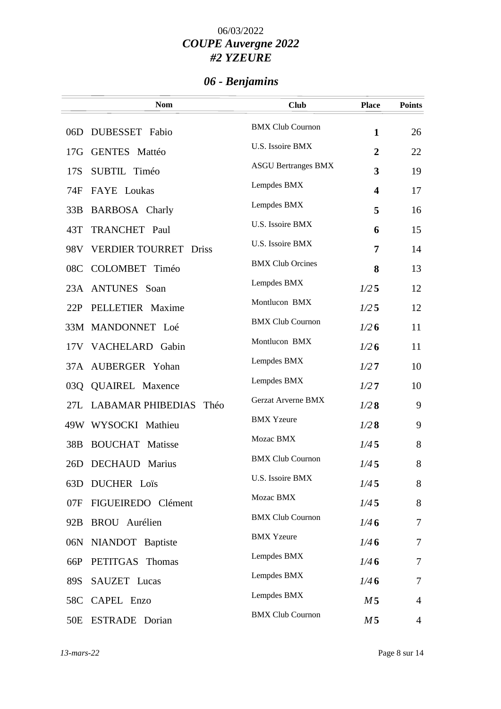# *06 - Benjamins*

|                 | <b>Nom</b>                    | <b>Club</b>                | <b>Place</b>            | <b>Points</b>  |
|-----------------|-------------------------------|----------------------------|-------------------------|----------------|
|                 | 06D DUBESSET Fabio            | <b>BMX Club Cournon</b>    | $\mathbf{1}$            | 26             |
| 17G             | <b>GENTES Mattéo</b>          | U.S. Issoire BMX           | $\overline{2}$          | 22             |
| 17S             | SUBTIL Timéo                  | <b>ASGU Bertranges BMX</b> | 3                       | 19             |
| 74F             | FAYE Loukas                   | Lempdes BMX                | $\overline{\mathbf{4}}$ | 17             |
| 33B             | <b>BARBOSA</b> Charly         | Lempdes BMX                | 5                       | 16             |
| 43T             | TRANCHET Paul                 | U.S. Issoire BMX           | 6                       | 15             |
| 98V             | <b>VERDIER TOURRET Driss</b>  | U.S. Issoire BMX           | 7                       | 14             |
| 08C             | COLOMBET Timéo                | <b>BMX Club Orcines</b>    | 8                       | 13             |
|                 | 23A ANTUNES Soan              | Lempdes BMX                | 1/25                    | 12             |
| 22P             | PELLETIER Maxime              | Montlucon BMX              | 1/25                    | 12             |
|                 | 33M MANDONNET Loé             | <b>BMX Club Cournon</b>    | 1/26                    | 11             |
|                 | 17V VACHELARD Gabin           | Montlucon BMX              | 1/26                    | 11             |
|                 | 37A AUBERGER Yohan            | Lempdes BMX                | 1/27                    | 10             |
| 03Q             | <b>QUAIREL Maxence</b>        | Lempdes BMX                | 1/27                    | 10             |
|                 | 27L LABAMAR PHIBEDIAS<br>Théo | <b>Gerzat Arverne BMX</b>  | 1/28                    | 9              |
|                 | 49W WYSOCKI Mathieu           | <b>BMX Yzeure</b>          | 1/28                    | 9              |
| 38B             | <b>BOUCHAT</b> Matisse        | Mozac BMX                  | 1/45                    | 8              |
| 26D             | <b>DECHAUD Marius</b>         | <b>BMX Club Cournon</b>    | 1/45                    | 8              |
| 63D             | <b>DUCHER Loïs</b>            | U.S. Issoire BMX           | 1/45                    | 8              |
| 07F             | FIGUEIREDO Clément            | Mozac BMX                  | 1/45                    | 8              |
| 92B             | BROU Aurélien                 | <b>BMX Club Cournon</b>    | 1/46                    | $\overline{7}$ |
| 06N             | NIANDOT Baptiste              | <b>BMX Yzeure</b>          | 1/46                    | 7              |
| 66P             | PETITGAS Thomas               | Lempdes BMX                | 1/46                    | 7              |
| 89S             | SAUZET Lucas                  | Lempdes BMX                | 1/46                    | 7              |
|                 | 58C CAPEL Enzo                | Lempdes BMX                | M <sub>5</sub>          | 4              |
| 50 <sub>E</sub> | <b>ESTRADE</b> Dorian         | <b>BMX Club Cournon</b>    | M <sub>5</sub>          | $\overline{4}$ |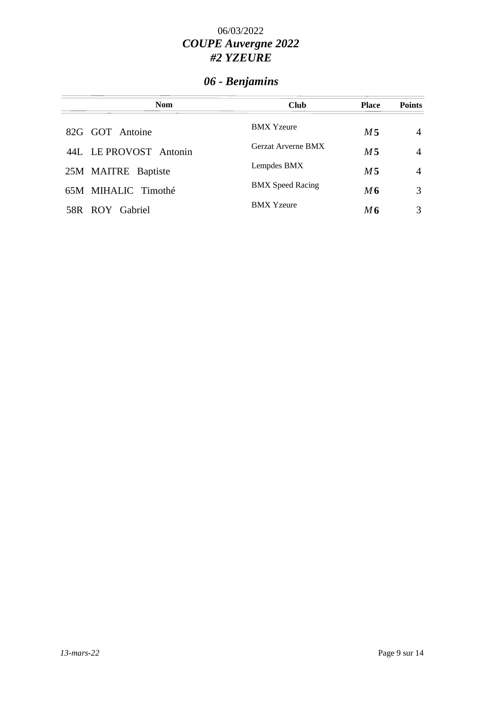# *06 - Benjamins*

| <b>Nom</b>             | <b>Club</b>               | <b>Place</b>   | <b>Points</b> |
|------------------------|---------------------------|----------------|---------------|
| 82G GOT Antoine        | <b>BMX</b> Yzeure         | M 5            | 4             |
| 44L LE PROVOST Antonin | <b>Gerzat Arverne BMX</b> | M <sub>5</sub> | 4             |
| 25M MAITRE Baptiste    | Lempdes BMX               | M 5            | 4             |
| 65M MIHALIC Timothé    | <b>BMX</b> Speed Racing   | M6             | 3             |
| 58R ROY Gabriel        | <b>BMX Yzeure</b>         | M6             | 3             |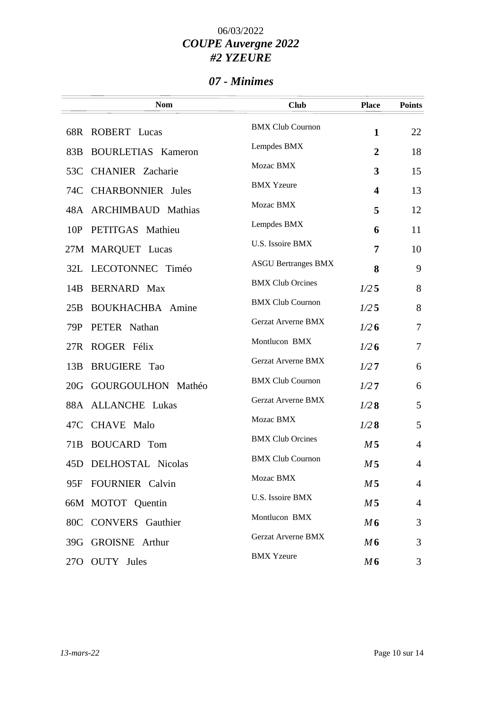### *07 - Minimes*

|                 | <b>Nom</b>                | <b>Club</b>                | <b>Place</b>            | <b>Points</b>  |
|-----------------|---------------------------|----------------------------|-------------------------|----------------|
|                 | 68R ROBERT Lucas          | <b>BMX Club Cournon</b>    | $\mathbf{1}$            | 22             |
| 83B             | <b>BOURLETIAS Kameron</b> | Lempdes BMX                | $\overline{2}$          | 18             |
|                 | 53C CHANIER Zacharie      | Mozac BMX                  | $\mathbf{3}$            | 15             |
|                 | 74C CHARBONNIER Jules     | <b>BMX Yzeure</b>          | $\overline{\mathbf{4}}$ | 13             |
|                 | 48A ARCHIMBAUD Mathias    | Mozac BMX                  | 5                       | 12             |
| 10P             | PETITGAS Mathieu          | Lempdes BMX                | 6                       | 11             |
|                 | 27M MARQUET Lucas         | U.S. Issoire BMX           | 7                       | 10             |
|                 | 32L LECOTONNEC Timéo      | <b>ASGU Bertranges BMX</b> | 8                       | 9              |
| 14B             | <b>BERNARD</b> Max        | <b>BMX Club Orcines</b>    | 1/25                    | 8              |
| 25B             | <b>BOUKHACHBA</b> Amine   | <b>BMX Club Cournon</b>    | 1/25                    | 8              |
| 79P             | PETER Nathan              | Gerzat Arverne BMX         | 1/26                    | $\tau$         |
| 27R             | ROGER Félix               | Montlucon BMX              | 1/26                    | $\overline{7}$ |
| 13B             | <b>BRUGIERE</b> Tao       | Gerzat Arverne BMX         | 1/27                    | 6              |
| 20G             | GOURGOULHON Mathéo        | <b>BMX Club Cournon</b>    | 1/27                    | 6              |
| 88A             | <b>ALLANCHE Lukas</b>     | Gerzat Arverne BMX         | 1/28                    | 5              |
|                 | 47C CHAVE Malo            | Mozac BMX                  | 1/28                    | 5              |
| 71 <sub>B</sub> | <b>BOUCARD</b> Tom        | <b>BMX Club Orcines</b>    | M <sub>5</sub>          | $\overline{4}$ |
|                 | 45D DELHOSTAL Nicolas     | <b>BMX Club Cournon</b>    | M <sub>5</sub>          | $\overline{4}$ |
| 95F             | <b>FOURNIER</b> Calvin    | Mozac BMX                  | M 5                     | $\overline{4}$ |
|                 | 66M MOTOT Quentin         | U.S. Issoire BMX           | M <sub>5</sub>          | $\overline{4}$ |
|                 | 80C CONVERS Gauthier      | Montlucon BMX              | M6                      | 3              |
|                 | 39G GROISNE Arthur        | <b>Gerzat Arverne BMX</b>  | M6                      | 3              |
|                 |                           | <b>BMX</b> Yzeure          |                         |                |
| 27 <sub>O</sub> | <b>OUTY</b> Jules         |                            | M6                      | 3              |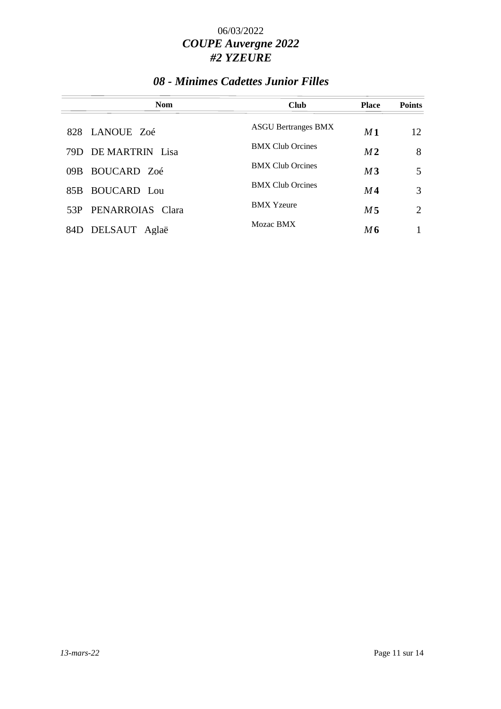## *08 - Minimes Cadettes Junior Filles*

|      | <b>Nom</b>          | <b>Club</b>                | <b>Place</b>   | <b>Points</b> |
|------|---------------------|----------------------------|----------------|---------------|
|      | 828 LANOUE Zoé      | <b>ASGU Bertranges BMX</b> | M1             | 12            |
|      | 79D DE MARTRIN Lisa | <b>BMX Club Orcines</b>    | M <sub>2</sub> | 8             |
| 09B  | BOUCARD Zoé         | <b>BMX Club Orcines</b>    | M <sub>3</sub> | 5             |
| 85B. | BOUCARD Lou         | <b>BMX Club Orcines</b>    | M4             | 3             |
| 53P  | PENARROIAS Clara    | <b>BMX</b> Yzeure          | M 5            | 2             |
| 84D  | DELSAUT<br>Aglaë    | Mozac BMX                  | M6             |               |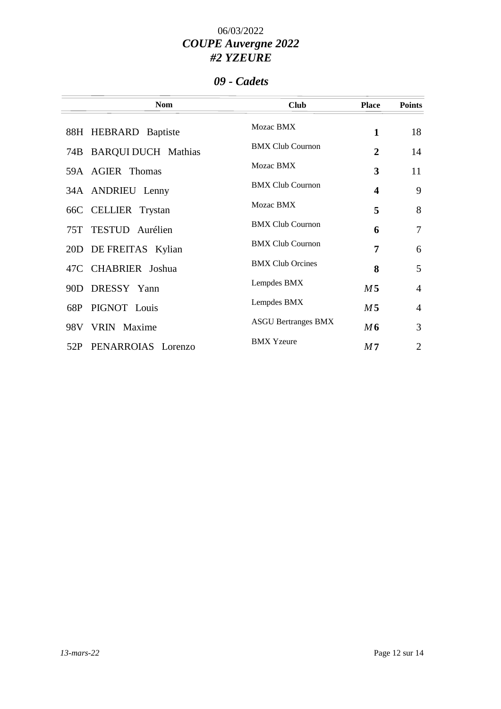### *09 - Cadets*

| <b>Nom</b>                | <b>Club</b>                | <b>Place</b>   | <b>Points</b>  |
|---------------------------|----------------------------|----------------|----------------|
| 88H HEBRARD Baptiste      | Mozac BMX                  | $\mathbf{1}$   | 18             |
| 74B BARQUI DUCH Mathias   | <b>BMX Club Cournon</b>    | 2              | 14             |
| 59A AGIER Thomas          | Mozac BMX                  | 3              | 11             |
| 34A ANDRIEU Lenny         | <b>BMX Club Cournon</b>    | 4              | 9              |
| 66C CELLIER Trystan       | Mozac BMX                  | 5              | 8              |
| 75T TESTUD Aurélien       | <b>BMX Club Cournon</b>    | 6              | $\overline{7}$ |
| 20D DE FREITAS Kylian     | <b>BMX Club Cournon</b>    | 7              | 6              |
| 47C CHABRIER Joshua       | <b>BMX Club Orcines</b>    | 8              | 5              |
| DRESSY Yann<br>90D        | Lempdes BMX                | M <sub>5</sub> | $\overline{4}$ |
| PIGNOT Louis<br>68P       | Lempdes BMX                | M <sub>5</sub> | $\overline{4}$ |
| 98V VRIN Maxime           | <b>ASGU Bertranges BMX</b> | M6             | 3              |
| PENARROIAS Lorenzo<br>52P | <b>BMX</b> Yzeure          | M <sub>7</sub> | $\overline{2}$ |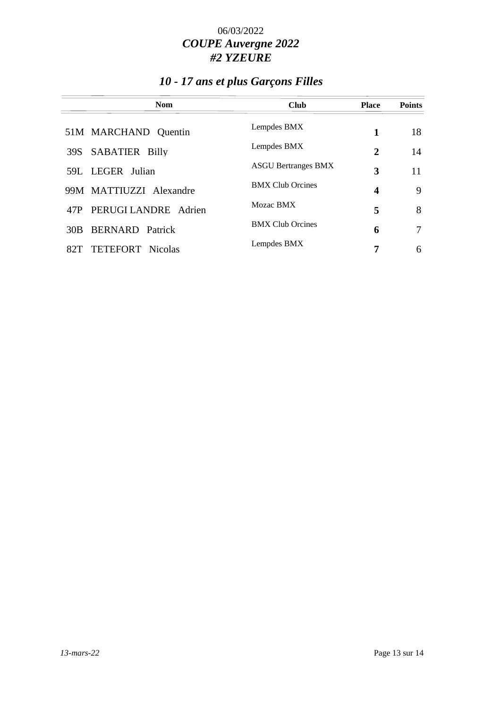# *10 - 17 ans et plus Garçons Filles*

| Nom                            | <b>Club</b>                | <b>Place</b> | <b>Points</b> |
|--------------------------------|----------------------------|--------------|---------------|
| 51M MARCHAND Quentin           | Lempdes BMX                | 1            | 18            |
| <b>SABATIER Billy</b><br>39S   | Lempdes BMX                | 2            | 14            |
| 59L LEGER Julian               | <b>ASGU Bertranges BMX</b> | 3            | 11            |
| 99M MATTIUZZI Alexandre        | <b>BMX Club Orcines</b>    | 4            | 9             |
| PERUGI LANDRE Adrien<br>47P    | Mozac BMX                  | 5            | 8             |
| <b>BERNARD</b> Patrick<br>30B  | <b>BMX Club Orcines</b>    | 6            | 7             |
| <b>TETEFORT</b> Nicolas<br>82T | Lempdes BMX                | 7            | 6             |